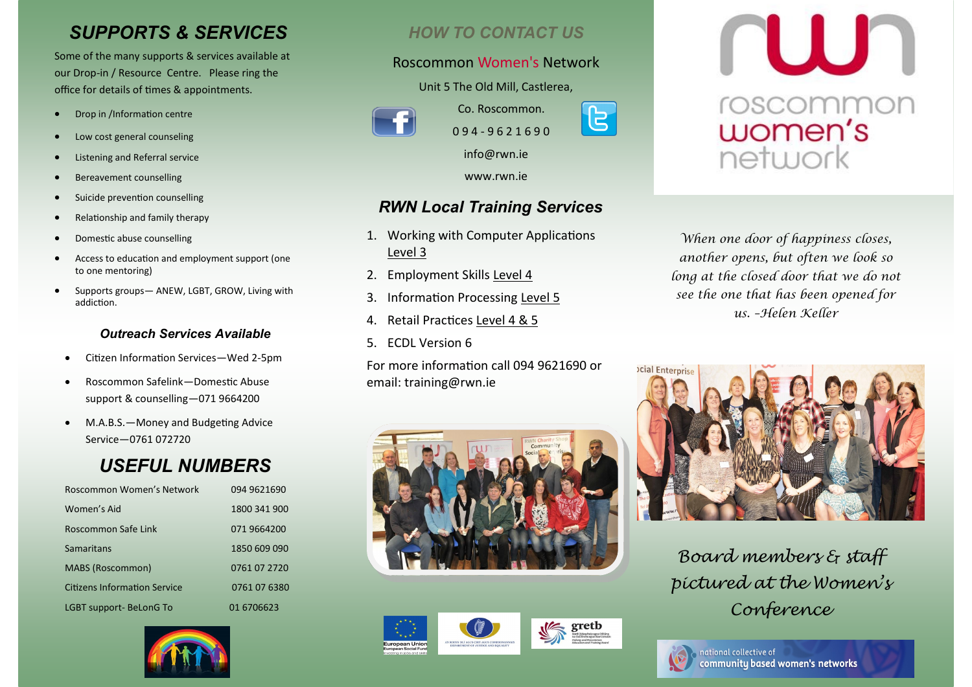# *SUPPORTS & SERVICES*

Some of the many supports & services available at our Drop-in / Resource Centre. Please ring the office for details of times & appointments.

- Drop in /Information centre
- Low cost general counseling
- Listening and Referral service
- Bereavement counselling
- Suicide prevention counselling
- Relationship and family therapy
- Domestic abuse counselling
- Access to education and employment support (one to one mentoring)
- Supports groups— ANEW, LGBT, GROW, Living with addiction.

### *Outreach Services Available*

- Citizen Information Services—Wed 2-5pm
- Roscommon Safelink—Domestic Abuse support & counselling—071 9664200
- M.A.B.S.—Money and Budgeting Advice Service—0761 072720

# *USEFUL NUMBERS*

| Roscommon Women's Network           | 094 9621690  |
|-------------------------------------|--------------|
| Women's Aid                         | 1800 341 900 |
| Roscommon Safe Link                 | 071 9664200  |
| Samaritans                          | 1850 609 090 |
| MABS (Roscommon)                    | 0761 07 2720 |
| <b>Citizens Information Service</b> | 0761 07 6380 |
| LGBT support-BeLonG To              | 01 670 6623  |



## *HOW TO CONTACT US*

### Roscommon Women's Network

Unit 5 The Old Mill, Castlerea,



Co. Roscommon. 0 9 4 - 9 6 2 1 6 9 0 info@rwn.ie

www.rwn.ie

## *RWN Local Training Services*

- 1. Working with Computer Applications Level 3
- 2. Employment Skills Level 4
- 3. Information Processing Level 5
- 4. Retail Practices Level 4 & 5
- 5. ECDL Version 6

For more information call 094 9621690 or email: training@rwn.ie







**NUJN** roscommon<br>women's network

*When one door of happiness closes, another opens, but often we look so long at the closed door that we do not see the one that has been opened for us. –Helen Keller* 



*Board members & staff pictured at the Women's Conference*